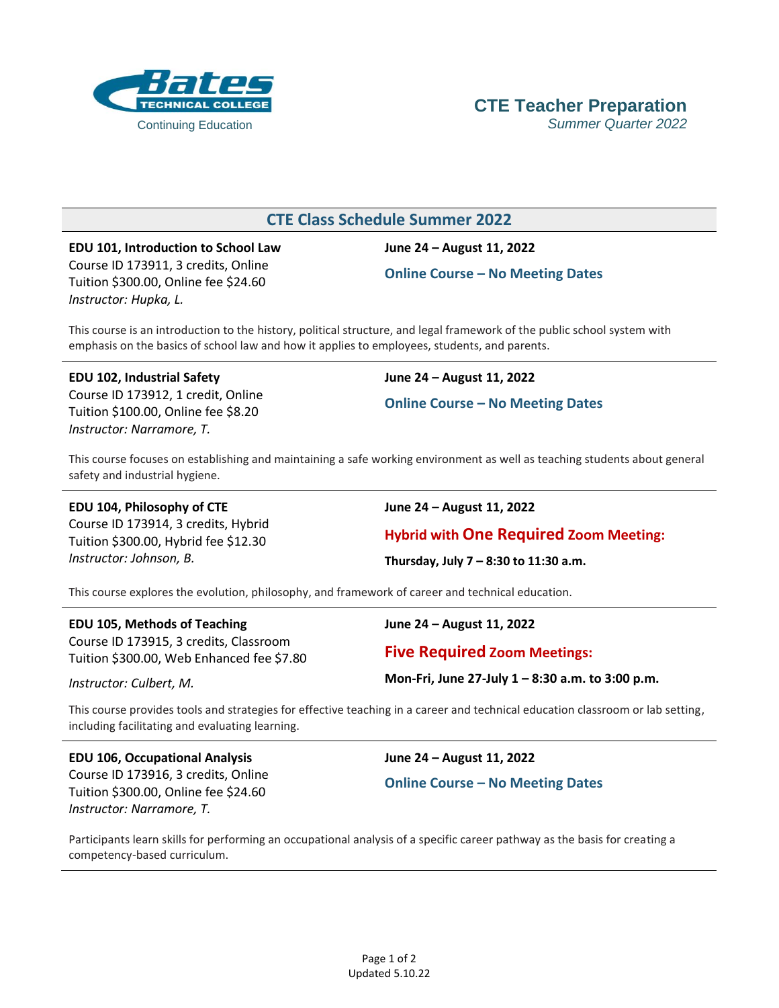

### **CTE Class Schedule Summer 2022**

**EDU 101, Introduction to School Law** Course ID 173911, 3 credits, Online Tuition \$300.00, Online fee \$24.60 *Instructor: Hupka, L.*

**June 24 – August 11, 2022**

**Online Course – No Meeting Dates**

This course is an introduction to the history, political structure, and legal framework of the public school system with emphasis on the basics of school law and how it applies to employees, students, and parents.

**EDU 102, Industrial Safety** Course ID 173912, 1 credit, Online Tuition \$100.00, Online fee \$8.20 *Instructor: Narramore, T.*

**June 24 – August 11, 2022**

**Online Course – No Meeting Dates**

This course focuses on establishing and maintaining a safe working environment as well as teaching students about general safety and industrial hygiene.

**EDU 104, Philosophy of CTE**

Course ID 173914, 3 credits, Hybrid Tuition \$300.00, Hybrid fee \$12.30 *Instructor: Johnson, B.*

**June 24 – August 11, 2022**

**Hybrid with One Required Zoom Meeting:**

**Thursday, July 7 – 8:30 to 11:30 a.m.**

This course explores the evolution, philosophy, and framework of career and technical education.

#### **EDU 105, Methods of Teaching**

Course ID 173915, 3 credits, Classroom Tuition \$300.00, Web Enhanced fee \$7.80

*Instructor: Culbert, M.*

**June 24 – August 11, 2022**

**Five Required Zoom Meetings:**

**Mon-Fri, June 27-July 1 – 8:30 a.m. to 3:00 p.m.**

This course provides tools and strategies for effective teaching in a career and technical education classroom or lab setting, including facilitating and evaluating learning.

**EDU 106, Occupational Analysis** Course ID 173916, 3 credits, Online Tuition \$300.00, Online fee \$24.60 *Instructor: Narramore, T.*

**June 24 – August 11, 2022**

**Online Course – No Meeting Dates**

Participants learn skills for performing an occupational analysis of a specific career pathway as the basis for creating a competency-based curriculum.